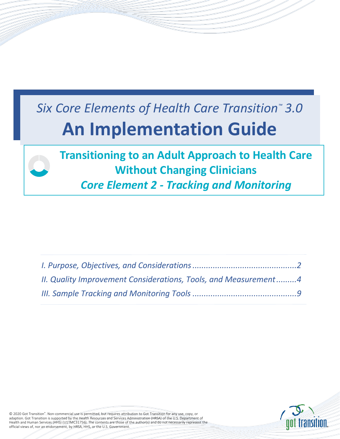# *Six Core Elements of Health Care Transition™ 3.0*  **An Implementation Guide**



| II. Quality Improvement Considerations, Tools, and Measurement4 |  |
|-----------------------------------------------------------------|--|
|                                                                 |  |



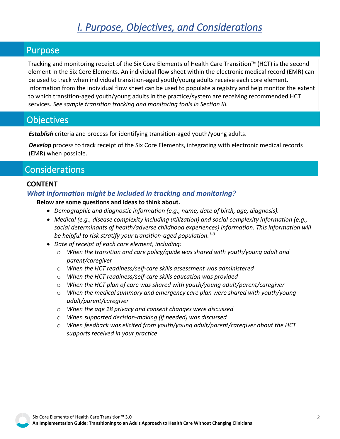## *I. Purpose, Objectives, and Considerations*

#### <span id="page-1-0"></span>Purpose

Tracking and monitoring receipt of the Six Core Elements of Health Care Transition™ (HCT) is the second element in the Six Core Elements. An individual flow sheet within the electronic medical record (EMR) can be used to track when individual transition-aged youth/young adults receive each core element. Information from the individual flow sheet can be used to populate a registry and help monitor the extent to which transition-aged youth/young adults in the practice/system are receiving recommended HCT services. *[See sample transition tracking and monitoring tools in Section III.](#page-8-0)*

### **Objectives**

*Establish* criteria and process for identifying transition-aged youth/young adults.

*Develop* process to track receipt of the Six Core Elements, integrating with electronic medical records (EMR) when possible.

## Considerations

#### **CONTENT**

#### *What information might be included in tracking and monitoring?*

**Below are some questions and ideas to think about.**

- *Demographic and diagnostic information (e.g., name, date of birth, age, diagnosis).*
- *Medical (e.g., disease complexity including utilization) and social complexity information (e.g., social determinants of health/adverse childhood experiences) information. This information will be helpful to risk stratify your transition-aged population. 1-3*
- *Date of receipt of each core element, including:*
	- o *When the transition and care policy/guide was shared with youth/young adult and parent/caregiver*
	- o *When the HCT readiness/self-care skills assessment was administered*
	- o *When the HCT readiness/self-care skills education was provided*
	- o *When the HCT plan of care was shared with youth/young adult/parent/caregiver*
	- o *When the medical summary and emergency care plan were shared with youth/young adult/parent/caregiver*
	- o *When the age 18 privacy and consent changes were discussed*
	- o *When supported decision-making (if needed) was discussed*
	- o *When feedback was elicited from youth/young adult/parent/caregiver about the HCT supports received in your practice*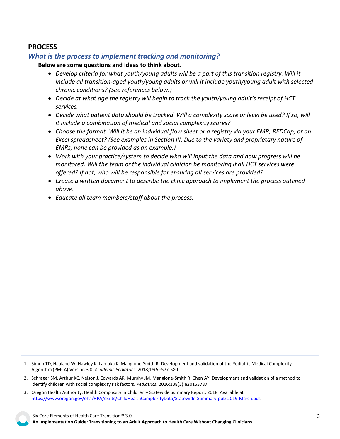#### **PROCESS**

#### *What is the process to implement tracking and monitoring?*

#### **Below are some questions and ideas to think about.**

- *Develop criteria for what youth/young adults will be a part of this transition registry. Will it include all transition-aged youth/young adults or will it include youth/young adult with selected chronic conditions? (See references below.)*
- *Decide at what age the registry will begin to track the youth/young adult's receipt of HCT services.*
- *Decide what patient data should be tracked. Will a complexity score or level be used? If so, will it include a combination of medical and social complexity scores?*
- *Choose the format. Will it be an individual flow sheet or a registry via your EMR, REDCap, or an Excel spreadsheet? (See examples in Section III. Due to the variety and proprietary nature of EMRs, none can be provided as an example.)*
- *Work with your practice/system to decide who will input the data and how progress will be monitored. Will the team or the individual clinician be monitoring if all HCT services were offered? If not, who will be responsible for ensuring all services are provided?*
- *Create a written document to describe the clinic approach to implement the process outlined above.*
- *Educate all team members/staff about the process.*

1. Simon TD, Haaland W, Hawley K, Lambka K, Mangione-Smith R. Development and validation of the Pediatric Medical Complexity Algorithm (PMCA) Version 3.0. *Academic Pediatrics.* 2018;18(5):577-580.

- 2. Schrager SM, Arthur KC, Nelson J, Edwards AR, Murphy JM, Mangione-Smith R, Chen AY. Development and validation of a method to identify children with social complexity risk factors. *Pediatrics.* 2016;138(3):e20153787.
- 3. Oregon Health Authority. Health Complexity in Children Statewide Summary Report. 2018. Available at [https://www.oregon.gov/oha/HPA/dsi-tc/ChildHealthComplexityData/Statewide-Summary-pub-2019-March.pdf.](https://www.oregon.gov/oha/HPA/dsi-tc/ChildHealthComplexityData/Statewide-Summary-pub-2019-March.pdf)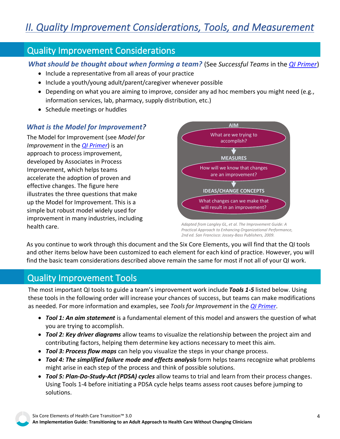## <span id="page-3-0"></span>Quality Improvement Considerations

*What should be thought about when forming a team?* (See *Successful Teams* in the *[QI Primer](https://gottransition.org/6ce/quality-improvement-primer)*)

- Include a representative from all areas of your practice
- Include a youth/young adult/parent/caregiver whenever possible
- Depending on what you are aiming to improve, consider any ad hoc members you might need (e.g., information services, lab, pharmacy, supply distribution, etc.)
- Schedule meetings or huddles

#### *What is the Model for Improvement?*

The Model for Improvement (see *Model for Improvement* in the *[QI Primer](https://gottransition.org/6ce/quality-improvement-primer)*) is an approach to process improvement, developed by Associates in Process Improvement, which helps teams accelerate the adoption of proven and effective changes. The figure here illustrates the three questions that make up the Model for Improvement. This is a simple but robust model widely used for improvement in many industries, including health care.



*Adapted from Langley GL, et al. The Improvement Guide: A Practical Approach to Enhancing Organizational Performance, 2nd ed. San Francisco: Jossey-Bass Publishers, 2009.*

As you continue to work through this document and the Six Core Elements, you will find that the QI tools and other items below have been customized to each element for each kind of practice. However, you will find the basic team considerations described above remain the same for most if not all of your QI work.

## Quality Improvement Tools

The most important QI tools to guide a team's improvement work include *Tools 1-5* listed below. Using these tools in the following order will increase your chances of success, but teams can make modifications as needed. For more information and examples, see *Tools for Improvement* in the *[QI Primer](https://gottransition.org/6ce/quality-improvement-primer)*.

- *Tool 1: An aim statement* is a fundamental element of this model and answers the question of what you are trying to accomplish.
- *Tool 2: Key driver diagrams* allow teams to visualize the relationship between the project aim and contributing factors, helping them determine key actions necessary to meet this aim.
- *Tool 3: Process flow maps* can help you visualize the steps in your change process.
- *Tool 4: The simplified failure mode and effects analysis* form helps teams recognize what problems might arise in each step of the process and think of possible solutions.
- *Tool 5: Plan-Do-Study-Act (PDSA) cycles* allow teams to trial and learn from their process changes. Using Tools 1-4 before initiating a PDSA cycle helps teams assess root causes before jumping to solutions.

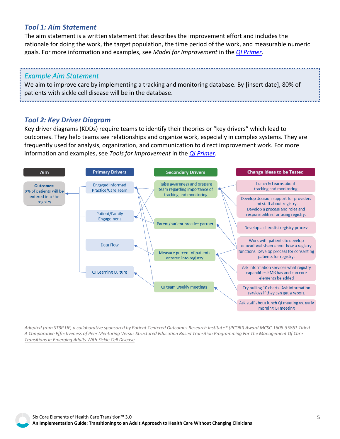#### *Tool 1: Aim Statement*

The aim statement is a written statement that describes the improvement effort and includes the rationale for doing the work, the target population, the time period of the work, and measurable numeric goals. For more information and examples, see *Model for Improvement* in the *[QI Primer](https://gottransition.org/6ce/quality-improvement-primer)*.

#### *Example Aim Statement*

We aim to improve care by implementing a tracking and monitoring database. By [insert date], 80% of patients with sickle cell disease will be in the database.

#### *Tool 2: Key Driver Diagram*

Key driver diagrams (KDDs) require teams to identify their theories or "key drivers" which lead to outcomes. They help teams see relationships and organize work, especially in complex systems. They are frequently used for analysis, organization, and communication to direct improvement work. For more information and examples, see *Tools for Improvement* in the *[QI Primer](https://gottransition.org/6ce/quality-improvement-primer)*.



*Adapted from ST3P UP, a collaborative sponsored by Patient Centered Outcomes Research Institute® (PCORI) Award MCSC-1608-35861 Titled [A Comparative Effectiveness of Peer Mentoring Versus Structured Education Based Transition Programming For The Management Of Care](https://www.pcori.org/research-results/2017/comparing-transitional-care-teens-and-young-adults-sickle-cell-disease-and)  Transitions In Emerging Adults With Sickle Cell Disease.*

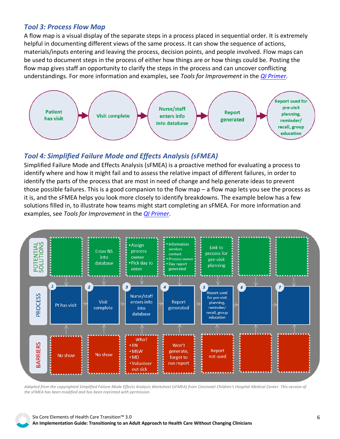#### *Tool 3: Process Flow Map*

A flow map is a visual display of the separate steps in a process placed in sequential order. It is extremely helpful in documenting different views of the same process. It can show the sequence of actions, materials/inputs entering and leaving the process, decision points, and people involved. Flow maps can be used to document steps in the process of either how things are or how things could be. Posting the flow map gives staff an opportunity to clarify the steps in the process and can uncover conflicting understandings. For more information and examples, see *Tools for Improvement* in the *[QI Primer](https://gottransition.org/6ce/quality-improvement-primer)*.



#### *Tool 4: Simplified Failure Mode and Effects Analysis (sFMEA)*

Simplified Failure Mode and Effects Analysis (sFMEA) is a proactive method for evaluating a process to identify where and how it might fail and to assess the relative impact of different failures, in order to identify the parts of the process that are most in need of change and help generate ideas to prevent those possible failures. This is a good companion to the flow map – a flow map lets you see the process as it is, and the sFMEA helps you look more closely to identify breakdowns. The example below has a few solutions filled in, to illustrate how teams might start completing an sFMEA. For more information and examples, see *Tools for Improvement* in the *[QI Primer](https://gottransition.org/6ce/quality-improvement-primer)*.



*Adapted from the copyrighted Simplified Failure Mode Effects Analysis Worksheet (sFMEA) from Cincinnati Children's Hospital Medical Center. This version of the sFMEA has been modified and has been reprinted with permission.*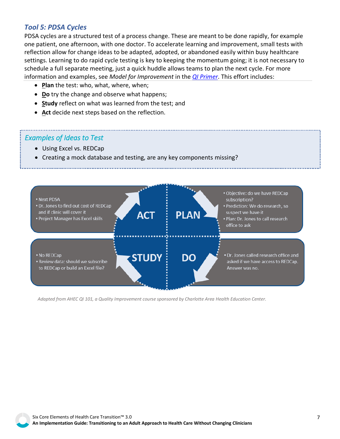#### *Tool 5: PDSA Cycles*

PDSA cycles are a structured test of a process change. These are meant to be done rapidly, for example one patient, one afternoon, with one doctor. To accelerate learning and improvement, small tests with reflection allow for change ideas to be adapted, adopted, or abandoned easily within busy healthcare settings. Learning to do rapid cycle testing is key to keeping the momentum going; it is not necessary to schedule a full separate meeting, just a quick huddle allows teams to plan the next cycle. For more information and examples, see *Model for Improvement* in the *[QI Primer](https://gottransition.org/6ce/quality-improvement-primer)*. This effort includes:

- **Plan** the test: who, what, where, when;
- **Do** try the change and observe what happens;
- **Study** reflect on what was learned from the test; and
- **Act** decide next steps based on the reflection.

#### *Examples of Ideas to Test*

- Using Excel vs. REDCap
- Creating a mock database and testing, are any key components missing?



*Adapted from AHEC QI 101, a Quality Improvement course sponsored by Charlotte Area Health Education Center.*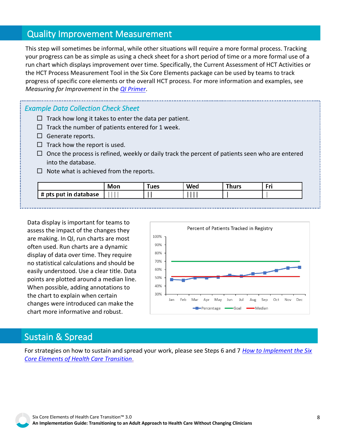## Quality Improvement Measurement

progress of specific core elements or the overall HCT process. For more information and examples, see<br>*Measuring for Improvement* in the <u>QI Primer</u>. This step will sometimes be informal, while other situations will require a more formal process. Tracking your progress can be as simple as using a check sheet for a short period of time or a more formal use of a run chart which displays improvement over time. Specifically, the Current Assessment of HCT Activities or the HCT Process Measurement Tool in the Six Core Elements package can be used by teams to track *Measuring for Improvement* in the *[QI Primer](https://gottransition.org/6ce/quality-improvement-primer)*.

*Example Data Collection Check Sheet* 

- $\Box$  Track how long it takes to enter the data per patient.
- $\Box$  Track the number of patients entered for 1 week.
- $\Box$  Generate reports.
- $\Box$  Track how the report is used.
- $\Box$  Once the process is refined, weekly or daily track the percent of patients seen who are entered into the database.
- $\Box$  Note what is achieved from the reports.

|                       | Mon | lues | Wed | Thurs |  |
|-----------------------|-----|------|-----|-------|--|
| # pts put in database |     |      |     |       |  |

Data display is important for teams to assess the impact of the changes they are making. In QI, run charts are most often used. Run charts are a dynamic display of data over time. They require no statistical calculations and should be easily understood. Use a clear title. Data points are plotted around a median line. When possible, adding annotations to the chart to explain when certain changes were introduced can make the chart more informative and robust.



## Sustain & Spread

For strategies on how to sustain and spread your work, please see Steps 6 and 7 *[How to Implement the Six](https://gottransition.org/6ce/how-to-implement)  [Core Elements of Health Care Transition](https://gottransition.org/6ce/how-to-implement)*.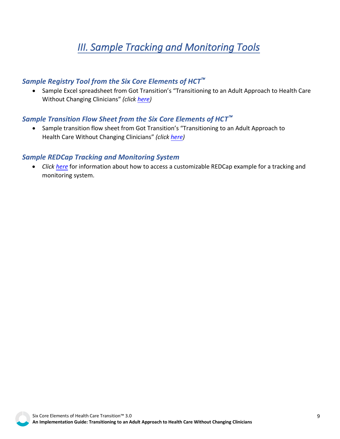# *III. Sample Tracking and Monitoring Tools*

#### <span id="page-8-0"></span>*Sample Registry Tool from the Six Core Elements of HCT*

• Sample Excel spreadsheet from Got Transition's "Transitioning to an Adult Approach to Health Care Without Changing Clinicians" *(clic[k here\)](https://gottransition.org/6ce/staying-registry)*

#### *Sample Transition Flow Sheet from the Six Core Elements of HCT*

• Sample transition flow sheet from Got Transition's "Transitioning to an Adult Approach to Health Care Without Changing Clinicians" *(clic[k here\)](www.gottransition.org/6ce/staying-flow-sheet)*

#### *Sample REDCap Tracking and Monitoring System*

• *Click [here](https://gottransition.org/resource/sample-REDCap-Tracking)* for information about how to access a customizable REDCap example for a tracking and monitoring system.